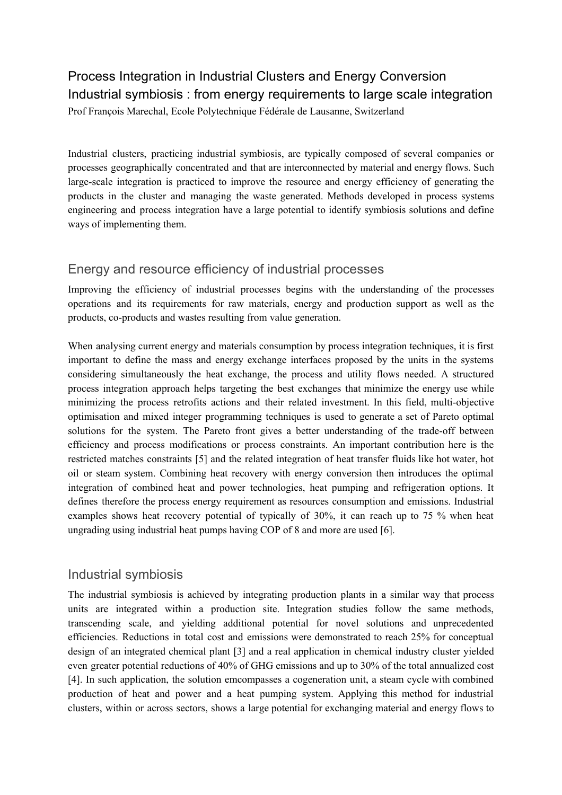# Process Integration in Industrial Clusters and Energy Conversion Industrial symbiosis : from energy requirements to large scale integration Prof François Marechal, Ecole Polytechnique Fédérale de Lausanne, Switzerland

Industrial clusters, practicing industrial symbiosis, are typically composed of several companies or processes geographically concentrated and that are interconnected by material and energy flows. Such large-scale integration is practiced to improve the resource and energy efficiency of generating the products in the cluster and managing the waste generated. Methods developed in process systems engineering and process integration have a large potential to identify symbiosis solutions and define ways of implementing them.

## Energy and resource efficiency of industrial processes

Improving the efficiency of industrial processes begins with the understanding of the processes operations and its requirements for raw materials, energy and production support as well as the products, co-products and wastes resulting from value generation.

When analysing current energy and materials consumption by process integration techniques, it is first important to define the mass and energy exchange interfaces proposed by the units in the systems considering simultaneously the heat exchange, the process and utility flows needed. A structured process integration approach helps targeting the best exchanges that minimize the energy use while minimizing the process retrofits actions and their related investment. In this field, multi-objective optimisation and mixed integer programming techniques is used to generate a set of Pareto optimal solutions for the system. The Pareto front gives a better understanding of the trade-off between efficiency and process modifications or process constraints. An important contribution here is the restricted matches constraints [5] and the related integration of heat transfer fluids like hot water, hot oil or steam system. Combining heat recovery with energy conversion then introduces the optimal integration of combined heat and power technologies, heat pumping and refrigeration options. It defines therefore the process energy requirement as resources consumption and emissions. Industrial examples shows heat recovery potential of typically of 30%, it can reach up to 75 % when heat ungrading using industrial heat pumps having COP of 8 and more are used [6].

## Industrial symbiosis

The industrial symbiosis is achieved by integrating production plants in a similar way that process units are integrated within a production site. Integration studies follow the same methods, transcending scale, and yielding additional potential for novel solutions and unprecedented efficiencies. Reductions in total cost and emissions were demonstrated to reach 25% for conceptual design of an integrated chemical plant [3] and a real application in chemical industry cluster yielded even greater potential reductions of 40% of GHG emissions and up to 30% of the total annualized cost [4]. In such application, the solution emcompasses a cogeneration unit, a steam cycle with combined production of heat and power and a heat pumping system. Applying this method for industrial clusters, within or across sectors, shows a large potential for exchanging material and energy flows to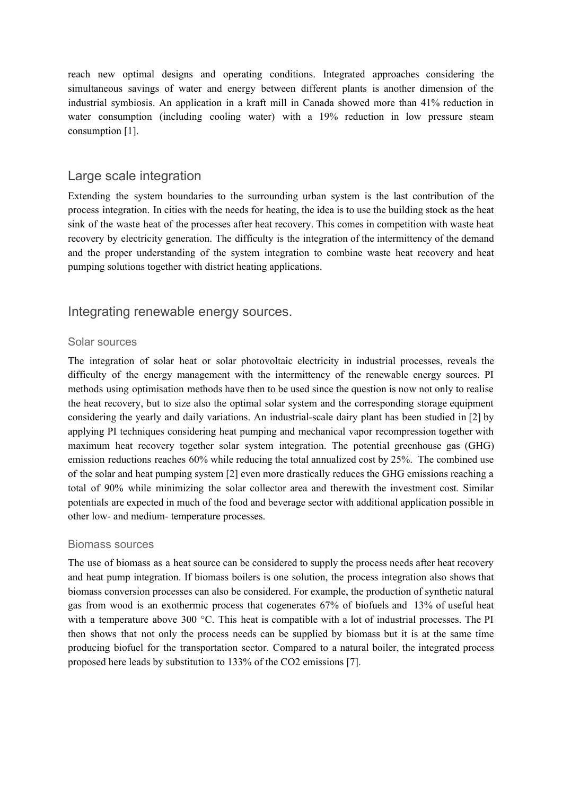reach new optimal designs and operating conditions. Integrated approaches considering the simultaneous savings of water and energy between different plants is another dimension of the industrial symbiosis. An application in a kraft mill in Canada showed more than 41% reduction in water consumption (including cooling water) with a 19% reduction in low pressure steam consumption [1].

### Large scale integration

Extending the system boundaries to the surrounding urban system is the last contribution of the process integration. In cities with the needs for heating, the idea is to use the building stock as the heat sink of the waste heat of the processes after heat recovery. This comes in competition with waste heat recovery by electricity generation. The difficulty is the integration of the intermittency of the demand and the proper understanding of the system integration to combine waste heat recovery and heat pumping solutions together with district heating applications.

### Integrating renewable energy sources.

#### Solar sources

The integration of solar heat or solar photovoltaic electricity in industrial processes, reveals the difficulty of the energy management with the intermittency of the renewable energy sources. PI methods using optimisation methods have then to be used since the question is now not only to realise the heat recovery, but to size also the optimal solar system and the corresponding storage equipment considering the yearly and daily variations. An industrial-scale dairy plant has been studied in [2] by applying PI techniques considering heat pumping and mechanical vapor recompression together with maximum heat recovery together solar system integration. The potential greenhouse gas (GHG) emission reductions reaches 60% while reducing the total annualized cost by 25%. The combined use of the solar and heat pumping system [2] even more drastically reduces the GHG emissions reaching a total of 90% while minimizing the solar collector area and therewith the investment cost. Similar potentials are expected in much of the food and beverage sector with additional application possible in other low- and medium- temperature processes.

#### Biomass sources

The use of biomass as a heat source can be considered to supply the process needs after heat recovery and heat pump integration. If biomass boilers is one solution, the process integration also shows that biomass conversion processes can also be considered. For example, the production of synthetic natural gas from wood is an exothermic process that cogenerates 67% of biofuels and 13% of useful heat with a temperature above 300 °C. This heat is compatible with a lot of industrial processes. The PI then shows that not only the process needs can be supplied by biomass but it is at the same time producing biofuel for the transportation sector. Compared to a natural boiler, the integrated process proposed here leads by substitution to 133% of the CO2 emissions [7].